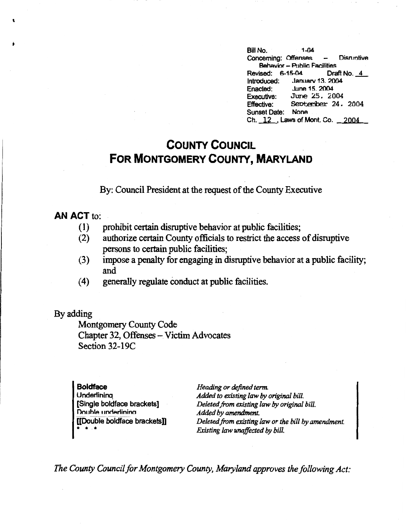Bill No. 1-04 Concerning: Offenses - Disruptive **Behavior - Public Facilities** Revised: 6-15-04 Draft No.\_\_!\_\_ Introduced: Januarv 13. 2004 Enadecl: June 15. 2004 Executive: June 25. 2004 Effective: September 24, 2004 Sunset Date: None Ch. 12, Laws of Mont. Co. 2004

## **COUNTY COUNCIL FOR MONTGOMERY COUNTY, MARYLAND**

By: Council President at the request of the County Executive

## **AN ACT** to:

'

- (1) prohibit certain disruptive behavior at public facilities;
- (2) authorize certain County officials to restrict the access of disruptive persons to certain public facilities;
- (3) impose a penalty for engaging in disruptive behavior at a public facility; and
- (4) generally regulate conduct at public facilities.

## By adding

Montgomery County Code Chapter 32, Offenses - Victim Advocates Section 32-19C

| <b>Boldface</b>               | Heading or defined term.                            |
|-------------------------------|-----------------------------------------------------|
| Underlining                   | Added to existing law by original bill.             |
| [Single boldface brackets]    | Deleted from existing law by original bill.         |
| Double underlining            | Added by amendment.                                 |
| [[Double boldface brackets]]  | Deleted from existing law or the bill by amendment. |
| $\bullet$ $\bullet$ $\bullet$ | Existing law unaffected by bill.                    |

*The County Council for Montgomery County, Maryland approves the following Act:*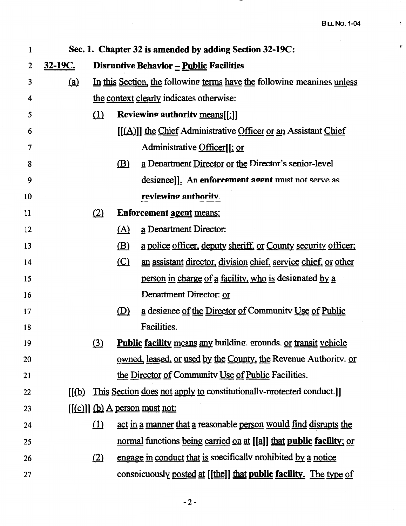$\sim$ 

•

 $\bar{\Sigma}$ 

| l  | Sec. 1. Chapter 32 is amended by adding Section 32-19C: |          |               |                                                                         |
|----|---------------------------------------------------------|----------|---------------|-------------------------------------------------------------------------|
| 2  | <u>32-19C.</u>                                          |          |               | Disruptive Behavior $-\underline{\text{Public} }$ Facilities            |
| 3  | (a)                                                     |          |               | In this Section, the following terms have the following meanings unless |
| 4  |                                                         |          |               | the context clearly indicates otherwise:                                |
| 5  |                                                         | $\Omega$ |               | <b>Reviewing authority means[[:]]</b>                                   |
| 6  |                                                         |          |               | [[(A)]] the Chief Administrative Officer or an Assistant Chief          |
| 7  |                                                         |          |               | Administrative Officer[[; or                                            |
| 8  |                                                         |          | $\mathbf{B}$  | a Denartment Director or the Director's senior-level                    |
| 9  |                                                         |          |               | designee]]. An enforcement agent must not serve as                      |
| 10 |                                                         |          |               | reviewing authority.                                                    |
| 11 |                                                         | (2)      |               | <b>Enforcement agent means:</b>                                         |
| 12 |                                                         |          | <u>(A)</u>    | a Department Director:                                                  |
| 13 |                                                         |          | <u>(B)</u>    | a police officer, deputy sheriff, or County security officer;           |
| 14 |                                                         |          | $\circ$       | an assistant director, division chief, service chief, or other          |
| 15 |                                                         |          |               | person in charge of a facility, who is designated by a                  |
| 16 |                                                         |          |               | Department Director: or                                                 |
| 17 |                                                         |          | $\circled{D}$ | a designee of the Director of Community Use of Public                   |
| 18 |                                                         |          |               | Facilities.                                                             |
| 19 |                                                         | $\Omega$ |               | <b>Public facility means any building. grounds. or transit vehicle</b>  |
| 20 |                                                         |          |               | <u>owned, leased, or used by the County, the Revenue Authority. or</u>  |
| 21 |                                                         |          |               | the Director of Community Use of Public Facilities.                     |
| 22 | $\mathbf{I}(\mathbf{p})$                                |          |               | This Section does not apply to constitutionally-protected conduct.]     |
| 23 |                                                         |          |               | $[(c)]$ (b) A person must not:                                          |
| 24 |                                                         | (1)      |               | act in a manner that a reasonable person would find disrupts the        |
| 25 |                                                         |          |               | normal functions being carried on at [[a]] that public facility; or     |
| 26 |                                                         | (2)      |               | engage in conduct that is specifically prohibited by a notice           |
| 27 |                                                         |          |               | conspicuously posted at [[the]] that public facility. The type of       |

 $\sim$   $-$ 

 $\mathcal{A}^{\mathcal{A}}$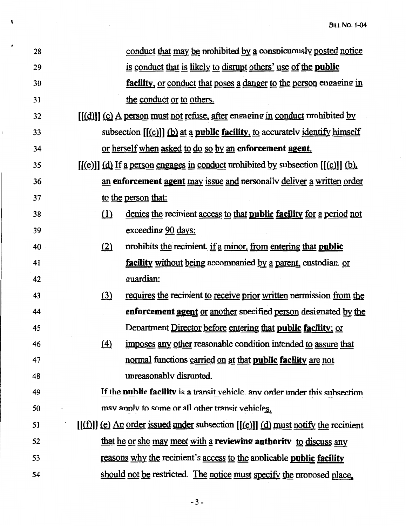| 28 | conduct that may be prohibited by a conspicuously posted notice                         |
|----|-----------------------------------------------------------------------------------------|
| 29 | is conduct that is likely to disrupt others' use of the <b>public</b>                   |
| 30 | facility, or conduct that poses a danger to the person engaging in                      |
| 31 | the conduct or to others.                                                               |
| 32 | $[(d)]$ (c) A person must not refuse, after engaging in conduct prohibited by           |
| 33 | subsection $[(c)]$ (b) at a public facility, to accurately identify himself             |
| 34 | or herself when asked to do so by an enforcement agent.                                 |
| 35 | $[(e)]$ (d) If a person engages in conduct prohibited by subsection $[(c)]$ (b).        |
| 36 | an enforcement agent may issue and personally deliver a written order                   |
| 37 | to the person that:                                                                     |
| 38 | denies the recipient access to that <b>public facility</b> for a period not<br>$\Omega$ |
| 39 | exceeding 90 days;                                                                      |
| 40 | prohibits the recipient if a minor, from entering that public<br>(2)                    |
| 41 | <b>facility</b> without being accompanied by a parent, custodian or                     |
| 42 | guardian:                                                                               |
| 43 | requires the recipient to receive prior written permission from the<br>(3)              |
| 44 | enforcement agent or another specified person designated by the                         |
| 45 | Department Director before entering that public facility; or                            |
| 46 | imposes any other reasonable condition intended to assure that<br>$\left(4\right)$      |
| 47 | normal functions carried on at that public facility are not                             |
| 48 | unreasonably disrupted.                                                                 |
| 49 | If the <b>public facility</b> is a transit vehicle, any order under this subsection     |
| 50 | may apply to some or all other transit vehicles.                                        |
| 51 | $[(f)]$ (e) An order issued under subsection $[(e)]$ (d) must notify the recipient      |
| 52 | that he or she may meet with a reviewing authority to discuss any                       |
| 53 | reasons why the recipient's access to the applicable <b>public facility</b>             |
| 54 | should not be restricted. The notice must specify the proposed place.                   |

 $\label{eq:2} \frac{1}{\sqrt{2}}\int_{0}^{\infty}\frac{1}{\sqrt{2\pi}}\left(\frac{1}{\sqrt{2\pi}}\right)^{2}d\mu_{\rm{eff}}$ 

 $\mathbf{r}$ 

í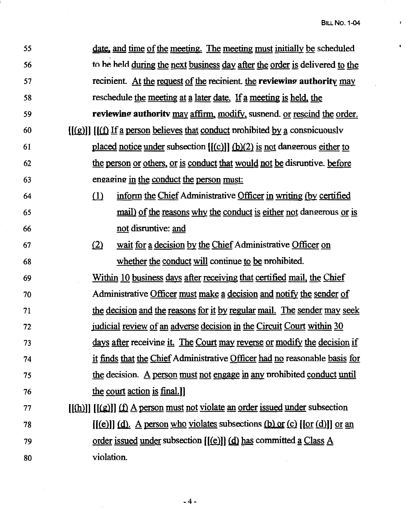$\bar{r}$ 

 $\bullet$ 

| 55 | <u>date</u> , and time of the meeting. The meeting must initially be scheduled                                                     |
|----|------------------------------------------------------------------------------------------------------------------------------------|
| 56 | to be held during the next business day after the order is delivered to the                                                        |
| 57 | recipient. At the request of the recipient the reviewing authority may                                                             |
| 58 | reschedule the meeting at a later date. If a meeting is held, the                                                                  |
| 59 | reviewing authority may affirm, modify, suspend. or rescind the order.                                                             |
| 60 | $[(g)]] [[f] If a person believes that conduct prohibited by a consoicuously$                                                      |
| 61 | placed notice under subsection $[(c)]$ $(b)(2)$ is not dangerous either to                                                         |
| 62 | the person or others, or is conduct that would not be disruptive. before                                                           |
| 63 | engaging in the conduct the person must:                                                                                           |
| 64 | inform the Chief Administrative Officer in writing (by certified<br>(1)                                                            |
| 65 | <u>mail) of the reasons why the conduct is either not dangerous or is</u>                                                          |
| 66 | not disruptive: and                                                                                                                |
| 67 | wait for a decision by the Chief Administrative Officer on<br>(2)                                                                  |
| 68 | whether the conduct will continue to be prohibited.                                                                                |
| 69 | Within 10 business days after receiving that certified mail, the Chief                                                             |
| 70 | Administrative Officer must make a decision and notify the sender of                                                               |
| 71 | the decision and the reasons for it by regular mail. The sender may seek                                                           |
| 72 | judicial review of an adverse decision in the Circuit Court within 30                                                              |
| 73 | <u>days after receiving it. The Court may reverse or modify the decision if</u>                                                    |
| 74 | it finds that the Chief Administrative Officer had no reasonable basis for                                                         |
| 75 | the decision. A person must not engage in any prohibited conduct until                                                             |
| 76 | the court action is final.]                                                                                                        |
| 77 | $[(\underline{h})]$ $[(\underline{g})]$ $(\underline{f})$ $\underline{A}$ person must not violate an order issued under subsection |
| 78 | $[(e)]$ (d). A person who violates subsections (b) or (c) $[or (d)]$ or an                                                         |
| 79 | order issued under subsection $[(e)]$ $(d)$ has committed a Class A                                                                |
| 80 | violation.                                                                                                                         |

-4-

 $\bar{z}$